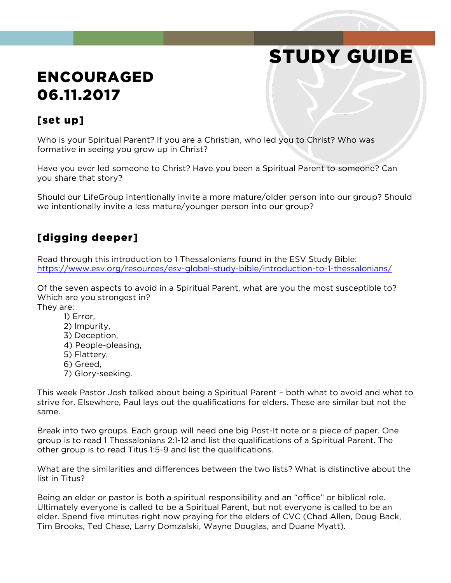# STUDY GUIDE

## ENCOURAGED 06.11.2017

### [set up]

Who is your Spiritual Parent? If you are a Christian, who led you to Christ? Who was formative in seeing you grow up in Christ?

Have you ever led someone to Christ? Have you been a Spiritual Parent to someone? Can you share that story?

Should our LifeGroup intentionally invite a more mature/older person into our group? Should we intentionally invite a less mature/younger person into our group?

#### [digging deeper]

Read through this introduction to 1 Thessalonians found in the ESV Study Bible: <https://www.esv.org/resources/esv-global-study-bible/introduction-to-1-thessalonians/>

Of the seven aspects to avoid in a Spiritual Parent, what are you the most susceptible to? Which are you strongest in?

They are:

- 1) Error,
- 2) Impurity,
- 3) Deception,
- 4) People-pleasing,
- 5) Flattery,
- 6) Greed,
- 7) Glory-seeking.

This week Pastor Josh talked about being a Spiritual Parent – both what to avoid and what to strive for. Elsewhere, Paul lays out the qualifications for elders. These are similar but not the same.

Break into two groups. Each group will need one big Post-It note or a piece of paper. One group is to read 1 Thessalonians 2:1-12 and list the qualifications of a Spiritual Parent. The other group is to read Titus 1:5-9 and list the qualifications.

What are the similarities and differences between the two lists? What is distinctive about the list in Titus?

Being an elder or pastor is both a spiritual responsibility and an "office" or biblical role. Ultimately everyone is called to be a Spiritual Parent, but not everyone is called to be an elder. Spend five minutes right now praying for the elders of CVC (Chad Allen, Doug Back, Tim Brooks, Ted Chase, Larry Domzalski, Wayne Douglas, and Duane Myatt).